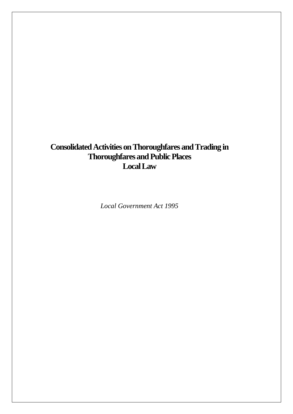# **Consolidated Activities on Thoroughfares and Trading in Thoroughfares and Public Places Local Law**

*Local Government Act 1995*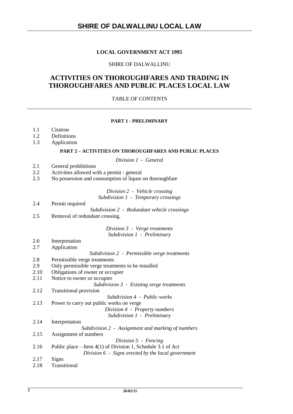# **SHIRE OF DALWALLINU LOCAL LAW**

# **LOCAL GOVERNMENT ACT 1995**

# SHIRE OF DALWALLINU

# **ACTIVITIES ON THOROUGHFARES AND TRADING IN THOROUGHFARES AND PUBLIC PLACES LOCAL LAW**

### TABLE OF CONTENTS

#### **PART 1 - PRELIMINARY**

- 1.1 Citation
- 1.2 Definitions
- 1.3 Application

#### **PART 2 – ACTIVITIES ON THOROUGHFARES AND PUBLIC PLACES**

*Division 1 - General*

- 2.1 General prohibitions
- 2.2 Activities allowed with a permit general
- 2.3 No possession and consumption of liquor on thoroughfare

# *Division 2 - Vehicle crossing*

*Subdivision 1 - Temporary crossings*

2.4 Permit required *Subdivision 2 - Redundant vehicle crossings* 2.5 Removal of redundant crossing.

#### *Division 3 - Verge treatments Subdivision 1 - Preliminary*

- 2.6 Interpretation
- 2.7 Application

*Subdivision 2 - Permissible verge treatments*

- 2.8 Permissible verge treatments
- 2.9 Only permissible verge treatments to be installed
- 2.10 Obligations of owner or occupier
- 2.11 Notice to owner or occupier

*Subdivision 3 - Existing verge treatments* 2.12 Transitional provision

*Subdivision 4 - Public works*

- 2.13 Power to carry out public works on verge *Division 4 - Property numbers Subdivision 1 - Preliminary*
- 2.14 Interpretation
- *Subdivision 2 Assignment and marking of numbers*
- 2.15 Assignment of numbers *Division 5 - Fencing*
- 2.16 Public place Item 4(1) of Division 1, Schedule 3.1 of Act *Division 6 - Signs erected by the local government*
- 2.17 Signs
- 2.18 Transitional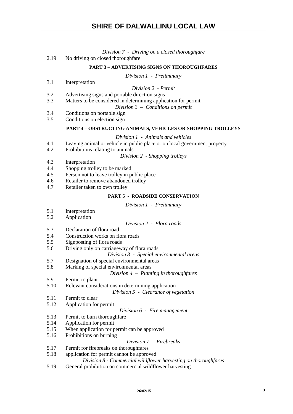*Division 7 - Driving on a closed thoroughfare*

| 2.19 | No driving on closed thorough fare                                        |
|------|---------------------------------------------------------------------------|
|      | <b>PART 3 - ADVERTISING SIGNS ON THOROUGHFARES</b>                        |
|      | Division 1 - Preliminary                                                  |
| 3.1  | Interpretation                                                            |
|      | Division 2 - Permit                                                       |
| 3.2  | Advertising signs and portable direction signs                            |
| 3.3  | Matters to be considered in determining application for permit            |
|      | Division $3$ – Conditions on permit                                       |
| 3.4  | Conditions on portable sign                                               |
| 3.5  | Conditions on election sign                                               |
|      | <b>PART 4 - OBSTRUCTING ANIMALS, VEHICLES OR SHOPPING TROLLEYS</b>        |
|      | Division 1 - Animals and vehicles                                         |
| 4.1  | Leaving animal or vehicle in public place or on local government property |
| 4.2  | Prohibitions relating to animals                                          |
|      |                                                                           |

*Division 2 - Shopping trolleys*

- 4.3 Interpretation
- 4.4 Shopping trolley to be marked
- 4.5 Person not to leave trolley in public place
- 4.6 Retailer to remove abandoned trolley
- 4.7 Retailer taken to own trolley

# **PART 5 - ROADSIDE CONSERVATION**

### *Division 1 - Preliminary*

- 5.1 Interpretation
- 5.2 Application

# *Division 2 - Flora roads*

- 5.3 Declaration of flora road
- 5.4 Construction works on flora roads
- 5.5 Signposting of flora roads
- 5.6 Driving only on carriageway of flora roads
	- *Division 3 Special environmental areas*
- 5.7 Designation of special environmental areas
- 5.8 Marking of special environmental areas

#### *Division 4 – Planting in thoroughfares*

- 5.9 Permit to plant
- 5.10 Relevant considerations in determining application

*Division 5 - Clearance of vegetation*

- 5.11 Permit to clear
- 5.12 Application for permit
	- *Division 6 Fire management*
- 5.13 Permit to burn thoroughfare
- 5.14 Application for permit
- 5.15 When application for permit can be approved
- 5.16 Prohibitions on burning

# *Division 7 - Firebreaks*

- 5.17 Permit for firebreaks on thoroughfares
- 5.18 application for permit cannot be approved
	- *Division 8 - Commercial wildflower harvesting on thoroughfares*
- 5.19 General prohibition on commercial wildflower harvesting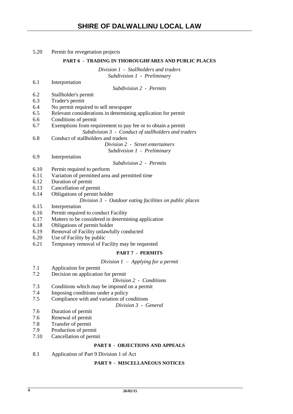# 5.20 Permit for revegetation projects

### **PART 6 - TRADING IN THOROUGHFARES AND PUBLIC PLACES**

*Division 1 - Stallholders and traders Subdivision 1 - Preliminary*

| 6.1  | Interpretation                                                |
|------|---------------------------------------------------------------|
|      | Subdivision 2 - Permits                                       |
| 6.2  | Stallholder's permit                                          |
| 6.3  | Trader's permit                                               |
| 6.4  | No permit required to sell newspaper                          |
| 6.5  | Relevant considerations in determining application for permit |
| 6.6  | Conditions of permit                                          |
| 6.7  | Exemptions from requirement to pay fee or to obtain a permit  |
|      | Subdivision 3 - Conduct of stallholders and traders           |
| 6.8  | Conduct of stallholders and traders                           |
|      | Division 2 - Street entertainers                              |
|      | Subdivision 1 - Preliminary                                   |
| 6.9  | Interpretation                                                |
|      | Subdivision 2 - Permits                                       |
| 6.10 | Permit required to perform                                    |
| 6.11 | Variation of permitted area and permitted time                |
| 6.12 | Duration of permit                                            |
| 6.13 | Cancellation of permit                                        |
| 6.14 | Obligations of permit holder                                  |
|      | Division 3 - Outdoor eating facilities on public places       |
| 6.15 | Interpretation                                                |
| 6.16 | Permit required to conduct Facility                           |
| 6.17 | Matters to be considered in determining application           |
| 6.18 | Obligations of permit holder                                  |
| 6.19 | Removal of Facility unlawfully conducted                      |
| 6.20 | Use of Facility by public                                     |
| 6.21 | Temporary removal of Facility may be requested                |
|      | <b>PART 7 - PERMITS</b>                                       |
|      | Division $1$ – Applying for a permit                          |
| 7.1  | Application for permit                                        |
| 7.2  | Decision on application for permit                            |
|      | Division 2 - Conditions                                       |
| 7.3  | Conditions which may be imposed on a permit                   |
| 7.4  | Imposing conditions under a policy                            |
| 7.5  | Compliance with and variation of conditions                   |
|      | Division 3 - General                                          |
| 7.6  | Duration of permit                                            |
| 7.6  | Renewal of permit                                             |
| 7.8  | Transfer of permit                                            |

- 7.9 Production of permit<br>7.10 Cancellation of permi
- Cancellation of permit

# **PART 8 - OBJECTIONS AND APPEALS**

8.1 Application of Part 9 Division 1 of Act

# **PART 9 - MISCELLANEOUS NOTICES**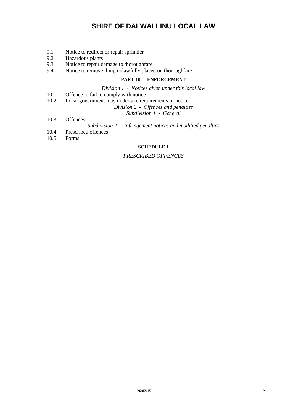- 9.1 Notice to redirect or repair sprinkler
- 9.2 Hazardous plants<br>9.3 Notice to repair d
- Notice to repair damage to thoroughfare
- 9.4 Notice to remove thing unlawfully placed on thoroughfare

# **PART 10 - ENFORCEMENT**

*Division 1 - Notices given under this local law*

- 10.1 Offence to fail to comply with notice<br>10.2 Local government may undertake rea
- Local government may undertake requirements of notice
	- *Division 2 Offences and penalties*

*Subdivision 1 - General*

- 10.3 Offences
	- *Subdivision 2 Infringement notices and modified penalties*
- 10.4 Prescribed offences
- 10.5 Forms

#### **SCHEDULE 1**

# *PRESCRIBED OFFENCES*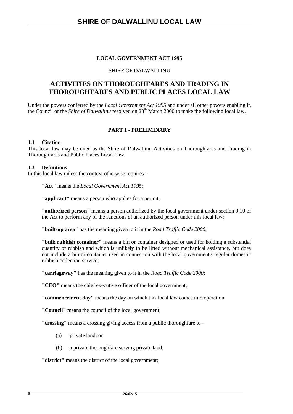# **LOCAL GOVERNMENT ACT 1995**

# SHIRE OF DALWALLINU

# **ACTIVITIES ON THOROUGHFARES AND TRADING IN THOROUGHFARES AND PUBLIC PLACES LOCAL LAW**

Under the powers conferred by the *Local Government Act 1995* and under all other powers enabling it, the Council of the *Shire of Dalwallinu* resolved on 28<sup>th</sup> March 2000 to make the following local law.

# **PART 1 - PRELIMINARY**

# **1.1 Citation**

This local law may be cited as the Shire of Dalwallinu Activities on Thoroughfares and Trading in Thoroughfares and Public Places Local Law.

# **1.2 Definitions**

In this local law unless the context otherwise requires -

**"Act"** means the *Local Government Act 1995*;

**"applicant"** means a person who applies for a permit;

**"authorized person"** means a person authorized by the local government under section 9.10 of the Act to perform any of the functions of an authorized person under this local law;

**"built-up area"** has the meaning given to it in the *Road Traffic Code 2000*;

**"bulk rubbish container"** means a bin or container designed or used for holding a substantial quantity of rubbish and which is unlikely to be lifted without mechanical assistance, but does not include a bin or container used in connection with the local government's regular domestic rubbish collection service;

**"carriageway"** has the meaning given to it in the *Road Traffic Code 2000*;

**"CEO"** means the chief executive officer of the local government;

**"commencement day"** means the day on which this local law comes into operation;

**"Council"** means the council of the local government;

**"crossing"** means a crossing giving access from a public thoroughfare to -

- (a) private land; or
- (b) a private thoroughfare serving private land;

**"district"** means the district of the local government;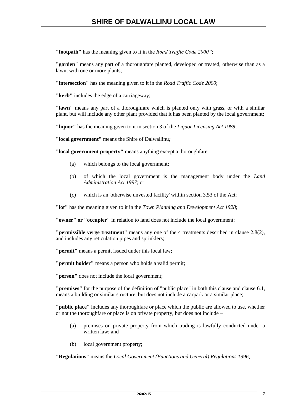**"footpath"** has the meaning given to it in the *Road Traffic Code 2000"*;

**"garden"** means any part of a thoroughfare planted, developed or treated, otherwise than as a lawn, with one or more plants;

**"intersection"** has the meaning given to it in the *Road Traffic Code 2000*;

**"kerb"** includes the edge of a carriageway;

**"lawn"** means any part of a thoroughfare which is planted only with grass, or with a similar plant, but will include any other plant provided that it has been planted by the local government;

**"liquor"** has the meaning given to it in section 3 of the *Liquor Licensing Act 1988*;

**"local government"** means the Shire of Dalwallinu*;*

**"local government property"** means anything except a thoroughfare –

- (a) which belongs to the local government;
- (b) of which the local government is the management body under the *Land Administration Act 1997*; or
- (c) which is an 'otherwise unvested facility' within section 3.53 of the Act;

**"lot"** has the meaning given to it in the *Town Planning and Development Act 1928*;

**"owner" or "occupier"** in relation to land does not include the local government;

**"permissible verge treatment"** means any one of the 4 treatments described in clause 2.8(2), and includes any reticulation pipes and sprinklers;

**"permit"** means a permit issued under this local law;

**"permit holder"** means a person who holds a valid permit;

**"person"** does not include the local government;

**"premises"** for the purpose of the definition of "public place" in both this clause and clause 6.1, means a building or similar structure, but does not include a carpark or a similar place;

**"public place"** includes any thoroughfare or place which the public are allowed to use, whether or not the thoroughfare or place is on private property, but does not include –

- (a) premises on private property from which trading is lawfully conducted under a written law; and
- (b) local government property;

**"Regulations"** means the *Local Government (Functions and General) Regulations 1996*;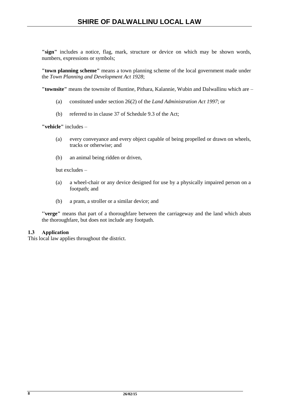**"sign"** includes a notice, flag, mark, structure or device on which may be shown words, numbers, expressions or symbols;

**"town planning scheme"** means a town planning scheme of the local government made under the *Town Planning and Development Act 1928*;

**"townsite"** means the townsite of Buntine, Pithara, Kalannie, Wubin and Dalwallinu which are –

- (a) constituted under section 26(2) of the *Land Administration Act 1997*; or
- (b) referred to in clause 37 of Schedule 9.3 of the Act;

**"vehicle"** includes –

- (a) every conveyance and every object capable of being propelled or drawn on wheels, tracks or otherwise; and
- (b) an animal being ridden or driven,

but excludes –

- (a) a wheel-chair or any device designed for use by a physically impaired person on a footpath; and
- (b) a pram, a stroller or a similar device; and

**''verge"** means that part of a thoroughfare between the carriageway and the land which abuts the thoroughfare, but does not include any footpath.

# **1.3 Application**

This local law applies throughout the district.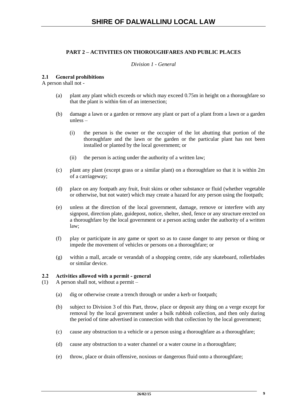# **PART 2 – ACTIVITIES ON THOROUGHFARES AND PUBLIC PLACES**

# *Division 1 - General*

### **2.1 General prohibitions**

A person shall not -

- (a) plant any plant which exceeds or which may exceed 0.75m in height on a thoroughfare so that the plant is within 6m of an intersection;
- (b) damage a lawn or a garden or remove any plant or part of a plant from a lawn or a garden unless –
	- (i) the person is the owner or the occupier of the lot abutting that portion of the thoroughfare and the lawn or the garden or the particular plant has not been installed or planted by the local government; or
	- (ii) the person is acting under the authority of a written law;
- (c) plant any plant (except grass or a similar plant) on a thoroughfare so that it is within 2m of a carriageway;
- (d) place on any footpath any fruit, fruit skins or other substance or fluid (whether vegetable or otherwise, but not water) which may create a hazard for any person using the footpath;
- (e) unless at the direction of the local government, damage, remove or interfere with any signpost, direction plate, guidepost, notice, shelter, shed, fence or any structure erected on a thoroughfare by the local government or a person acting under the authority of a written law;
- (f) play or participate in any game or sport so as to cause danger to any person or thing or impede the movement of vehicles or persons on a thoroughfare; or
- (g) within a mall, arcade or verandah of a shopping centre, ride any skateboard, rollerblades or similar device.

# **2.2 Activities allowed with a permit - general**

(1) A person shall not, without a permit –

- (a) dig or otherwise create a trench through or under a kerb or footpath;
- (b) subject to Division 3 of this Part, throw, place or deposit any thing on a verge except for removal by the local government under a bulk rubbish collection, and then only during the period of time advertised in connection with that collection by the local government;
- (c) cause any obstruction to a vehicle or a person using a thoroughfare as a thoroughfare;
- (d) cause any obstruction to a water channel or a water course in a thoroughfare;
- (e) throw, place or drain offensive, noxious or dangerous fluid onto a thoroughfare;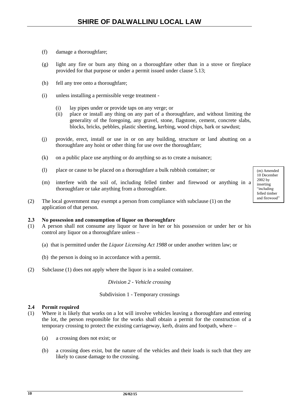- (f) damage a thoroughfare;
- (g) light any fire or burn any thing on a thoroughfare other than in a stove or fireplace provided for that purpose or under a permit issued under clause 5.13;
- (h) fell any tree onto a thoroughfare;
- (i) unless installing a permissible verge treatment
	- (i) lay pipes under or provide taps on any verge; or
	- (ii) place or install any thing on any part of a thoroughfare, and without limiting the generality of the foregoing, any gravel, stone, flagstone, cement, concrete slabs, blocks, bricks, pebbles, plastic sheeting, kerbing, wood chips, bark or sawdust;
- (j) provide, erect, install or use in or on any building, structure or land abutting on a thoroughfare any hoist or other thing for use over the thoroughfare;
- (k) on a public place use anything or do anything so as to create a nuisance;
- (l) place or cause to be placed on a thoroughfare a bulk rubbish container; or
- (m) interfere with the soil of, including felled timber and firewood or anything in a thoroughfare or take anything from a thoroughfare.
- (2) The local government may exempt a person from compliance with subclause (1) on the application of that person.

#### **2.3 No possession and consumption of liquor on thoroughfare**

- (1) A person shall not consume any liquor or have in her or his possession or under her or his control any liquor on a thoroughfare unless –
	- (a) that is permitted under the *Liquor Licensing Act 1988* or under another written law; or
	- (b) the person is doing so in accordance with a permit.
- (2) Subclause (1) does not apply where the liquor is in a sealed container.

*Division 2 - Vehicle crossing*

#### Subdivision 1 - Temporary crossings

#### **2.4 Permit required**

- (1) Where it is likely that works on a lot will involve vehicles leaving a thoroughfare and entering the lot, the person responsible for the works shall obtain a permit for the construction of a temporary crossing to protect the existing carriageway, kerb, drains and footpath, where –
	- (a) a crossing does not exist; or
	- (b) a crossing does exist, but the nature of the vehicles and their loads is such that they are likely to cause damage to the crossing.

10 December 2002 by inserting "including felled timber and firewood"

(m) Amended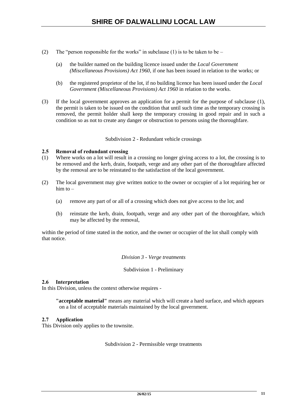- (2) The "person responsible for the works" in subclause (1) is to be taken to be
	- (a) the builder named on the building licence issued under the *Local Government (Miscellaneous Provisions) Act 1960*, if one has been issued in relation to the works; or
	- (b) the registered proprietor of the lot, if no building licence has been issued under the *Local Government (Miscellaneous Provisions) Act 1960* in relation to the works.
- (3) If the local government approves an application for a permit for the purpose of subclause (1), the permit is taken to be issued on the condition that until such time as the temporary crossing is removed, the permit holder shall keep the temporary crossing in good repair and in such a condition so as not to create any danger or obstruction to persons using the thoroughfare.

Subdivision 2 - Redundant vehicle crossings

# **2.5 Removal of redundant crossing**

- (1) Where works on a lot will result in a crossing no longer giving access to a lot, the crossing is to be removed and the kerb, drain, footpath, verge and any other part of the thoroughfare affected by the removal are to be reinstated to the satisfaction of the local government.
- (2) The local government may give written notice to the owner or occupier of a lot requiring her or him to –
	- (a) remove any part of or all of a crossing which does not give access to the lot; and
	- (b) reinstate the kerb, drain, footpath, verge and any other part of the thoroughfare, which may be affected by the removal,

within the period of time stated in the notice, and the owner or occupier of the lot shall comply with that notice.

# *Division 3 - Verge treatments*

Subdivision 1 - Preliminary

# **2.6 Interpretation**

In this Division, unless the context otherwise requires -

**"acceptable material"** means any material which will create a hard surface, and which appears on a list of acceptable materials maintained by the local government.

# **2.7 Application**

This Division only applies to the townsite.

Subdivision 2 - Permissible verge treatments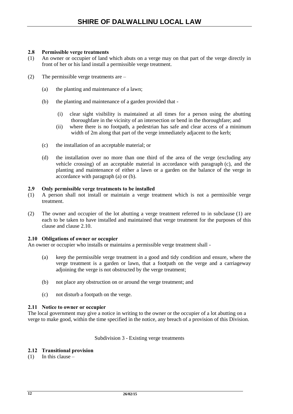# **2.8 Permissible verge treatments**

- (1) An owner or occupier of land which abuts on a verge may on that part of the verge directly in front of her or his land install a permissible verge treatment.
- (2) The permissible verge treatments are
	- (a) the planting and maintenance of a lawn;
	- (b) the planting and maintenance of a garden provided that
		- (i) clear sight visibility is maintained at all times for a person using the abutting thoroughfare in the vicinity of an intersection or bend in the thoroughfare; and
		- (ii) where there is no footpath, a pedestrian has safe and clear access of a minimum width of 2m along that part of the verge immediately adjacent to the kerb;
	- (c) the installation of an acceptable material; or
	- (d) the installation over no more than one third of the area of the verge (excluding any vehicle crossing) of an acceptable material in accordance with paragraph (c), and the planting and maintenance of either a lawn or a garden on the balance of the verge in accordance with paragraph (a) or (b).

#### **2.9 Only permissible verge treatments to be installed**

- (1) A person shall not install or maintain a verge treatment which is not a permissible verge treatment.
- (2) The owner and occupier of the lot abutting a verge treatment referred to in subclause (1) are each to be taken to have installed and maintained that verge treatment for the purposes of this clause and clause 2.10.

#### **2.10 Obligations of owner or occupier**

An owner or occupier who installs or maintains a permissible verge treatment shall -

- (a) keep the permissible verge treatment in a good and tidy condition and ensure, where the verge treatment is a garden or lawn, that a footpath on the verge and a carriageway adjoining the verge is not obstructed by the verge treatment;
- (b) not place any obstruction on or around the verge treatment; and
- (c) not disturb a footpath on the verge.

# **2.11 Notice to owner or occupier**

The local government may give a notice in writing to the owner or the occupier of a lot abutting on a verge to make good, within the time specified in the notice, any breach of a provision of this Division.

Subdivision 3 - Existing verge treatments

# **2.12 Transitional provision**

 $(1)$  In this clause –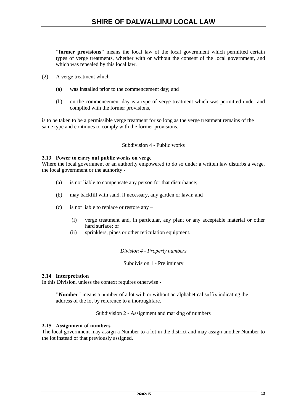**"former provisions"** means the local law of the local government which permitted certain types of verge treatments, whether with or without the consent of the local government, and which was repealed by this local law.

- (2) A verge treatment which
	- (a) was installed prior to the commencement day; and
	- (b) on the commencement day is a type of verge treatment which was permitted under and complied with the former provisions,

is to be taken to be a permissible verge treatment for so long as the verge treatment remains of the same type and continues to comply with the former provisions.

# Subdivision 4 - Public works

# **2.13 Power to carry out public works on verge**

Where the local government or an authority empowered to do so under a written law disturbs a verge, the local government or the authority -

- (a) is not liable to compensate any person for that disturbance;
- (b) may backfill with sand, if necessary, any garden or lawn; and
- (c) is not liable to replace or restore any
	- (i) verge treatment and, in particular, any plant or any acceptable material or other hard surface; or
	- (ii) sprinklers, pipes or other reticulation equipment.

# *Division 4 - Property numbers*

# Subdivision 1 - Preliminary

# **2.14 Interpretation**

In this Division, unless the context requires otherwise -

**"Number"** means a number of a lot with or without an alphabetical suffix indicating the address of the lot by reference to a thoroughfare.

Subdivision 2 - Assignment and marking of numbers

# **2.15 Assignment of numbers**

The local government may assign a Number to a lot in the district and may assign another Number to the lot instead of that previously assigned.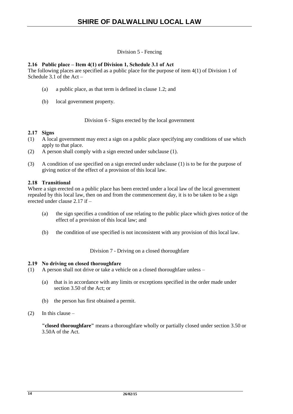# Division 5 - Fencing

# **2.16 Public place – Item 4(1) of Division 1, Schedule 3.1 of Act**

The following places are specified as a public place for the purpose of item 4(1) of Division 1 of Schedule 3.1 of the Act –

- (a) a public place, as that term is defined in clause 1.2; and
- (b) local government property.

Division 6 - Signs erected by the local government

# **2.17 Signs**

- (1) A local government may erect a sign on a public place specifying any conditions of use which apply to that place.
- (2) A person shall comply with a sign erected under subclause (1).
- (3) A condition of use specified on a sign erected under subclause (1) is to be for the purpose of giving notice of the effect of a provision of this local law.

# **2.18 Transitional**

Where a sign erected on a public place has been erected under a local law of the local government repealed by this local law, then on and from the commencement day, it is to be taken to be a sign erected under clause 2.17 if –

- (a) the sign specifies a condition of use relating to the public place which gives notice of the effect of a provision of this local law; and
- (b) the condition of use specified is not inconsistent with any provision of this local law.

Division 7 - Driving on a closed thoroughfare

# **2.19 No driving on closed thoroughfare**

- (1) A person shall not drive or take a vehicle on a closed thoroughfare unless
	- (a) that is in accordance with any limits or exceptions specified in the order made under section 3.50 of the Act; or
	- (b) the person has first obtained a permit.
- $(2)$  In this clause –

**"closed thoroughfare"** means a thoroughfare wholly or partially closed under section 3.50 or 3.50A of the Act.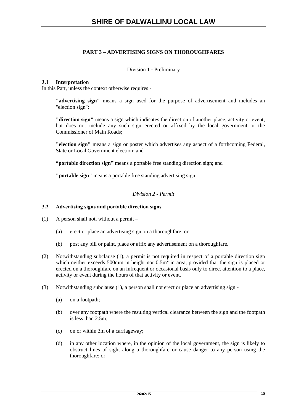# **PART 3 – ADVERTISING SIGNS ON THOROUGHFARES**

# Division 1 - Preliminary

# **3.1 Interpretation**

In this Part, unless the context otherwise requires -

**"advertising sign"** means a sign used for the purpose of advertisement and includes an "election sign";

**"direction sign"** means a sign which indicates the direction of another place, activity or event, but does not include any such sign erected or affixed by the local government or the Commissioner of Main Roads;

**"election sign"** means a sign or poster which advertises any aspect of a forthcoming Federal, State or Local Government election; and

**"portable direction sign"** means a portable free standing direction sign; and

**"portable sign"** means a portable free standing advertising sign.

# *Division 2 - Permit*

# **3.2 Advertising signs and portable direction signs**

- (1) A person shall not, without a permit
	- (a) erect or place an advertising sign on a thoroughfare; or
	- (b) post any bill or paint, place or affix any advertisement on a thoroughfare.
- (2) Notwithstanding subclause (1), a permit is not required in respect of a portable direction sign which neither exceeds 500mm in height nor  $0.5m<sup>2</sup>$  in area, provided that the sign is placed or erected on a thoroughfare on an infrequent or occasional basis only to direct attention to a place, activity or event during the hours of that activity or event.
- (3) Notwithstanding subclause (1), a person shall not erect or place an advertising sign
	- (a) on a footpath;
	- (b) over any footpath where the resulting vertical clearance between the sign and the footpath is less than 2.5m;
	- (c) on or within 3m of a carriageway;
	- (d) in any other location where, in the opinion of the local government, the sign is likely to obstruct lines of sight along a thoroughfare or cause danger to any person using the thoroughfare; or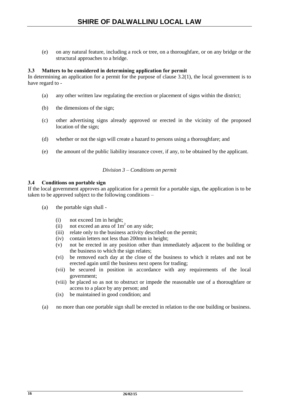(e) on any natural feature, including a rock or tree, on a thoroughfare, or on any bridge or the structural approaches to a bridge.

# **3.3 Matters to be considered in determining application for permit**

In determining an application for a permit for the purpose of clause 3.2(1), the local government is to have regard to -

- (a) any other written law regulating the erection or placement of signs within the district;
- (b) the dimensions of the sign;
- (c) other advertising signs already approved or erected in the vicinity of the proposed location of the sign;
- (d) whether or not the sign will create a hazard to persons using a thoroughfare; and
- (e) the amount of the public liability insurance cover, if any, to be obtained by the applicant.

# *Division 3 – Conditions on permit*

# **3.4 Conditions on portable sign**

If the local government approves an application for a permit for a portable sign, the application is to be taken to be approved subject to the following conditions –

- (a) the portable sign shall
	- (i) not exceed 1m in height;
	- (ii) not exceed an area of  $1m<sup>2</sup>$  on any side;
	- (iii) relate only to the business activity described on the permit;
	- (iv) contain letters not less than 200mm in height;
	- (v) not be erected in any position other than immediately adjacent to the building or the business to which the sign relates;
	- (vi) be removed each day at the close of the business to which it relates and not be erected again until the business next opens for trading;
	- (vii) be secured in position in accordance with any requirements of the local government;
	- (viii) be placed so as not to obstruct or impede the reasonable use of a thoroughfare or access to a place by any person; and
	- (ix) be maintained in good condition; and
- (a) no more than one portable sign shall be erected in relation to the one building or business.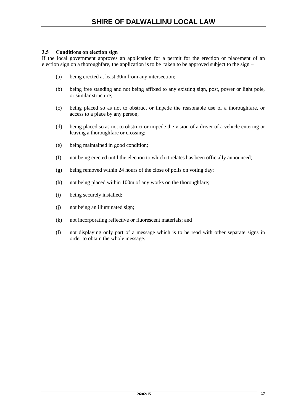# **3.5 Conditions on election sign**

If the local government approves an application for a permit for the erection or placement of an election sign on a thoroughfare, the application is to be taken to be approved subject to the sign –

- (a) being erected at least 30m from any intersection;
- (b) being free standing and not being affixed to any existing sign, post, power or light pole, or similar structure;
- (c) being placed so as not to obstruct or impede the reasonable use of a thoroughfare, or access to a place by any person;
- (d) being placed so as not to obstruct or impede the vision of a driver of a vehicle entering or leaving a thoroughfare or crossing;
- (e) being maintained in good condition;
- (f) not being erected until the election to which it relates has been officially announced;
- (g) being removed within 24 hours of the close of polls on voting day;
- (h) not being placed within 100m of any works on the thoroughfare;
- (i) being securely installed;
- (j) not being an illuminated sign;
- (k) not incorporating reflective or fluorescent materials; and
- (l) not displaying only part of a message which is to be read with other separate signs in order to obtain the whole message.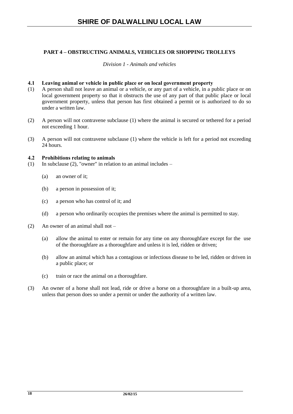# **PART 4 – OBSTRUCTING ANIMALS, VEHICLES OR SHOPPING TROLLEYS**

# *Division 1 - Animals and vehicles*

# **4.1 Leaving animal or vehicle in public place or on local government property**

- (1) A person shall not leave an animal or a vehicle, or any part of a vehicle, in a public place or on local government property so that it obstructs the use of any part of that public place or local government property, unless that person has first obtained a permit or is authorized to do so under a written law.
- (2) A person will not contravene subclause (1) where the animal is secured or tethered for a period not exceeding 1 hour.
- (3) A person will not contravene subclause (1) where the vehicle is left for a period not exceeding 24 hours.

#### **4.2 Prohibitions relating to animals**

- (1) In subclause (2), "owner" in relation to an animal includes
	- (a) an owner of it;
	- (b) a person in possession of it;
	- (c) a person who has control of it; and
	- (d) a person who ordinarily occupies the premises where the animal is permitted to stay.
- (2) An owner of an animal shall not
	- (a) allow the animal to enter or remain for any time on any thoroughfare except for the use of the thoroughfare as a thoroughfare and unless it is led, ridden or driven;
	- (b) allow an animal which has a contagious or infectious disease to be led, ridden or driven in a public place; or
	- (c) train or race the animal on a thoroughfare.
- (3) An owner of a horse shall not lead, ride or drive a horse on a thoroughfare in a built-up area, unless that person does so under a permit or under the authority of a written law.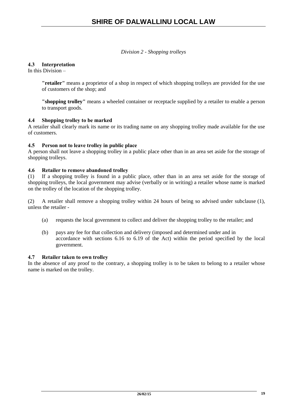*Division 2 - Shopping trolleys*

# **4.3 Interpretation**

In this Division  $-$ 

**"retailer"** means a proprietor of a shop in respect of which shopping trolleys are provided for the use of customers of the shop; and

**"shopping trolley"** means a wheeled container or receptacle supplied by a retailer to enable a person to transport goods.

# **4.4 Shopping trolley to be marked**

A retailer shall clearly mark its name or its trading name on any shopping trolley made available for the use of customers.

# **4.5 Person not to leave trolley in public place**

A person shall not leave a shopping trolley in a public place other than in an area set aside for the storage of shopping trolleys.

# **4.6 Retailer to remove abandoned trolley**

(1) If a shopping trolley is found in a public place, other than in an area set aside for the storage of shopping trolleys, the local government may advise (verbally or in writing) a retailer whose name is marked on the trolley of the location of the shopping trolley.

(2) A retailer shall remove a shopping trolley within 24 hours of being so advised under subclause (1), unless the retailer -

- (a) requests the local government to collect and deliver the shopping trolley to the retailer; and
- (b) pays any fee for that collection and delivery (imposed and determined under and in accordance with sections 6.16 to 6.19 of the Act) within the period specified by the local government.

# **4.7 Retailer taken to own trolley**

In the absence of any proof to the contrary, a shopping trolley is to be taken to belong to a retailer whose name is marked on the trolley.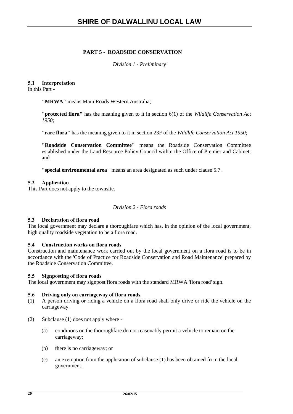# **PART 5 - ROADSIDE CONSERVATION**

*Division 1 - Preliminary*

# **5.1 Interpretation**

In this Part -

**"MRWA"** means Main Roads Western Australia;

**"protected flora"** has the meaning given to it in section 6(1) of the *Wildlife Conservation Act 1950*;

**"rare flora"** has the meaning given to it in section 23F of the *Wildlife Conservation Act 1950*;

**"Roadside Conservation Committee"** means the Roadside Conservation Committee established under the Land Resource Policy Council within the Office of Premier and Cabinet; and

**"special environmental area"** means an area designated as such under clause 5.7.

# **5.2 Application**

This Part does not apply to the townsite.

*Division 2 - Flora roads*

# **5.3 Declaration of flora road**

The local government may declare a thoroughfare which has, in the opinion of the local government, high quality roadside vegetation to be a flora road.

# **5.4 Construction works on flora roads**

Construction and maintenance work carried out by the local government on a flora road is to be in accordance with the 'Code of Practice for Roadside Conservation and Road Maintenance' prepared by the Roadside Conservation Committee.

#### **5.5 Signposting of flora roads**

The local government may signpost flora roads with the standard MRWA 'flora road' sign.

### **5.6 Driving only on carriageway of flora roads**

- (1) A person driving or riding a vehicle on a flora road shall only drive or ride the vehicle on the carriageway.
- (2) Subclause (1) does not apply where
	- (a) conditions on the thoroughfare do not reasonably permit a vehicle to remain on the carriageway;
	- (b) there is no carriageway; or
	- (c) an exemption from the application of subclause (1) has been obtained from the local government.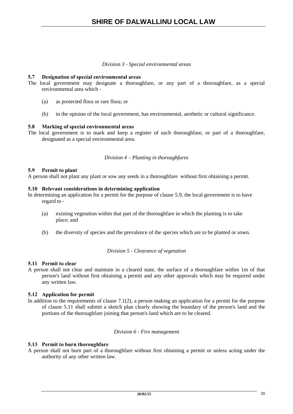#### *Division 3 - Special environmental areas*

# **5.7 Designation of special environmental areas**

- The local government may designate a thoroughfare, or any part of a thoroughfare, as a special environmental area which -
	- (a) as protected flora or rare flora; or
	- (b) in the opinion of the local government, has environmental, aesthetic or cultural significance.

# **5.8 Marking of special environmental areas**

The local government is to mark and keep a register of each thoroughfare, or part of a thoroughfare, designated as a special environmental area.

# *Division 4 – Planting in thoroughfares*

# **5.9 Permit to plant**

A person shall not plant any plant or sow any seeds in a thoroughfare without first obtaining a permit.

#### **5.10 Relevant considerations in determining application**

In determining an application for a permit for the purpose of clause 5.9, the local government is to have regard to -

- (a) existing vegetation within that part of the thoroughfare in which the planting is to take place; and
- (b) the diversity of species and the prevalence of the species which are to be planted or sown.

# *Division 5 - Clearance of vegetation*

# **5.11 Permit to clear**

A person shall not clear and maintain in a cleared state, the surface of a thoroughfare within 1m of that person's land without first obtaining a permit and any other approvals which may be required under any written law.

# **5.12 Application for permit**

In addition to the requirements of clause 7.1(2), a person making an application for a permit for the purpose of clause 5.11 shall submit a sketch plan clearly showing the boundary of the person's land and the portions of the thoroughfare joining that person's land which are to be cleared.

#### *Division 6 - Fire management*

# **5.13 Permit to burn thoroughfare**

A person shall not burn part of a thoroughfare without first obtaining a permit or unless acting under the authority of any other written law.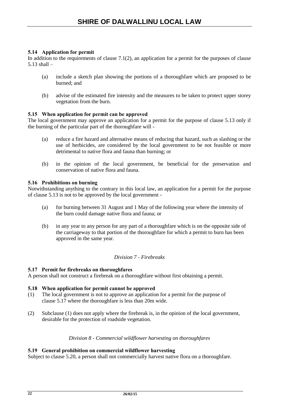# **5.14 Application for permit**

In addition to the requirements of clause  $7.1(2)$ , an application for a permit for the purposes of clause 5.13 shall –

- (a) include a sketch plan showing the portions of a thoroughfare which are proposed to be burned; and
- (b) advise of the estimated fire intensity and the measures to be taken to protect upper storey vegetation from the burn.

# **5.15 When application for permit can be approved**

The local government may approve an application for a permit for the purpose of clause 5.13 only if the burning of the particular part of the thoroughfare will -

- (a) reduce a fire hazard and alternative means of reducing that hazard, such as slashing or the use of herbicides, are considered by the local government to be not feasible or more detrimental to native flora and fauna than burning; or
- (b) in the opinion of the local government, be beneficial for the preservation and conservation of native flora and fauna.

# **5.16 Prohibitions on burning**

Notwithstanding anything to the contrary in this local law, an application for a permit for the purpose of clause 5.13 is not to be approved by the local government -

- (a) for burning between 31 August and 1 May of the following year where the intensity of the burn could damage native flora and fauna; or
- (b) in any year to any person for any part of a thoroughfare which is on the opposite side of the carriageway to that portion of the thoroughfare for which a permit to burn has been approved in the same year.

# *Division 7 - Firebreaks*

# **5.17 Permit for firebreaks on thoroughfares**

A person shall not construct a firebreak on a thoroughfare without first obtaining a permit.

# **5.18 When application for permit cannot be approved**

- (1) The local government is not to approve an application for a permit for the purpose of clause 5.17 where the thoroughfare is less than 20m wide.
- (2) Subclause (1) does not apply where the firebreak is, in the opinion of the local government, desirable for the protection of roadside vegetation.

# *Division 8 - Commercial wildflower harvesting on thoroughfares*

# **5.19 General prohibition on commercial wildflower harvesting**

Subject to clause 5.20, a person shall not commercially harvest native flora on a thoroughfare.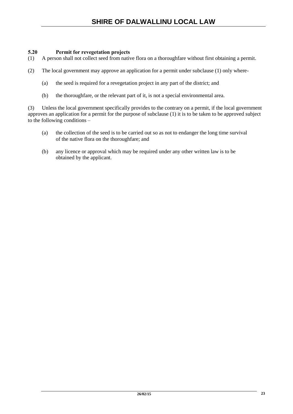# **5.20 Permit for revegetation projects**

- (1) A person shall not collect seed from native flora on a thoroughfare without first obtaining a permit.
- (2) The local government may approve an application for a permit under subclause (1) only where-
	- (a) the seed is required for a revegetation project in any part of the district; and
	- (b) the thoroughfare, or the relevant part of it, is not a special environmental area.

(3) Unless the local government specifically provides to the contrary on a permit, if the local government approves an application for a permit for the purpose of subclause (1) it is to be taken to be approved subject to the following conditions –

- (a) the collection of the seed is to be carried out so as not to endanger the long time survival of the native flora on the thoroughfare; and
- (b) any licence or approval which may be required under any other written law is to be obtained by the applicant.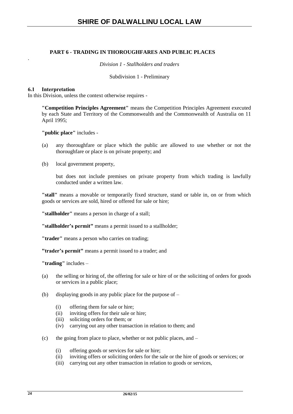# **PART 6 - TRADING IN THOROUGHFARES AND PUBLIC PLACES**

*Division 1 - Stallholders and traders*

Subdivision 1 - Preliminary

#### **6.1 Interpretation**

.

In this Division, unless the context otherwise requires -

**"Competition Principles Agreement"** means the Competition Principles Agreement executed by each State and Territory of the Commonwealth and the Commonwealth of Australia on 11 April 1995;

**"public place"** includes -

- (a) any thoroughfare or place which the public are allowed to use whether or not the thoroughfare or place is on private property; and
- (b) local government property,

but does not include premises on private property from which trading is lawfully conducted under a written law.

**"stall"** means a movable or temporarily fixed structure, stand or table in, on or from which goods or services are sold, hired or offered for sale or hire;

**"stallholder"** means a person in charge of a stall;

**"stallholder's permit"** means a permit issued to a stallholder;

**"trader"** means a person who carries on trading;

**"trader's permit"** means a permit issued to a trader; and

**"trading"** includes –

- (a) the selling or hiring of, the offering for sale or hire of or the soliciting of orders for goods or services in a public place;
- (b) displaying goods in any public place for the purpose of
	- (i) offering them for sale or hire;
	- (ii) inviting offers for their sale or hire;
	- (iii) soliciting orders for them; or
	- (iv) carrying out any other transaction in relation to them; and
- (c) the going from place to place, whether or not public places, and
	- (i) offering goods or services for sale or hire;
	- (ii) inviting offers or soliciting orders for the sale or the hire of goods or services; or
	- (iii) carrying out any other transaction in relation to goods or services,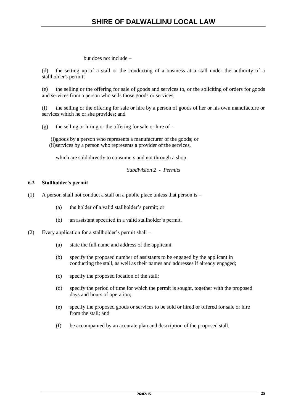but does not include –

(d) the setting up of a stall or the conducting of a business at a stall under the authority of a stallholder's permit;

(e) the selling or the offering for sale of goods and services to, or the soliciting of orders for goods and services from a person who sells those goods or services;

(f) the selling or the offering for sale or hire by a person of goods of her or his own manufacture or services which he or she provides; and

(g) the selling or hiring or the offering for sale or hire of  $-$ 

(i)goods by a person who represents a manufacturer of the goods; or (ii)services by a person who represents a provider of the services,

which are sold directly to consumers and not through a shop.

*Subdivision 2 - Permits*

# **6.2 Stallholder's permit**

- (1) A person shall not conduct a stall on a public place unless that person is
	- (a) the holder of a valid stallholder's permit; or
	- (b) an assistant specified in a valid stallholder's permit.
- (2) Every application for a stallholder's permit shall
	- (a) state the full name and address of the applicant;
	- (b) specify the proposed number of assistants to be engaged by the applicant in conducting the stall, as well as their names and addresses if already engaged;
	- (c) specify the proposed location of the stall;
	- (d) specify the period of time for which the permit is sought, together with the proposed days and hours of operation;
	- (e) specify the proposed goods or services to be sold or hired or offered for sale or hire from the stall; and
	- (f) be accompanied by an accurate plan and description of the proposed stall.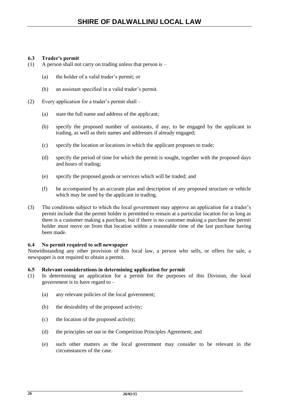# **6.3 Trader's permit**

- (1) A person shall not carry on trading unless that person is  $-$ 
	- (a) the holder of a valid trader's permit; or
	- (b) an assistant specified in a valid trader's permit.
- (2) Every application for a trader's permit shall
	- (a) state the full name and address of the applicant;
	- (b) specify the proposed number of assistants, if any, to be engaged by the applicant in trading, as well as their names and addresses if already engaged;
	- (c) specify the location or locations in which the applicant proposes to trade;
	- (d) specify the period of time for which the permit is sought, together with the proposed days and hours of trading;
	- (e) specify the proposed goods or services which will be traded; and
	- (f) be accompanied by an accurate plan and description of any proposed structure or vehicle which may be used by the applicant in trading.
- (3) The conditions subject to which the local government may approve an application for a trader's permit include that the permit holder is permitted to remain at a particular location for as long as there is a customer making a purchase, but if there is no customer making a purchase the permit holder must move on from that location within a reasonable time of the last purchase having been made.

# **6.4 No permit required to sell newspaper**

Notwithstanding any other provision of this local law, a person who sells, or offers for sale, a newspaper is not required to obtain a permit.

# **6.5 Relevant considerations in determining application for permit**

- (1) In determining an application for a permit for the purposes of this Division, the local government is to have regard to –
	- (a) any relevant policies of the local government;
	- (b) the desirability of the proposed activity;
	- (c) the location of the proposed activity;
	- (d) the principles set out in the Competition Principles Agreement; and
	- (e) such other matters as the local government may consider to be relevant in the circumstances of the case.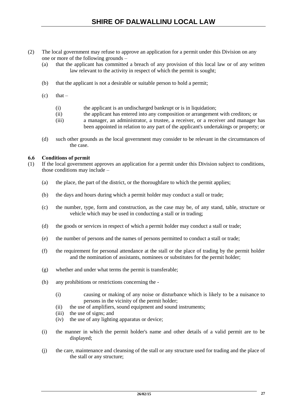- (2) The local government may refuse to approve an application for a permit under this Division on any one or more of the following grounds –
	- (a) that the applicant has committed a breach of any provision of this local law or of any written law relevant to the activity in respect of which the permit is sought;
	- (b) that the applicant is not a desirable or suitable person to hold a permit;
	- $(c)$  that
		- (i) the applicant is an undischarged bankrupt or is in liquidation;
		- (ii) the applicant has entered into any composition or arrangement with creditors; or
		- (iii) a manager, an administrator, a trustee, a receiver, or a receiver and manager has been appointed in relation to any part of the applicant's undertakings or property; or
	- (d) such other grounds as the local government may consider to be relevant in the circumstances of the case.

# **6.6 Conditions of permit**

- (1) If the local government approves an application for a permit under this Division subject to conditions, those conditions may include  $-$ 
	- (a) the place, the part of the district, or the thoroughfare to which the permit applies;
	- (b) the days and hours during which a permit holder may conduct a stall or trade;
	- (c) the number, type, form and construction, as the case may be, of any stand, table, structure or vehicle which may be used in conducting a stall or in trading;
	- (d) the goods or services in respect of which a permit holder may conduct a stall or trade;
	- (e) the number of persons and the names of persons permitted to conduct a stall or trade;
	- (f) the requirement for personal attendance at the stall or the place of trading by the permit holder and the nomination of assistants, nominees or substitutes for the permit holder;
	- (g) whether and under what terms the permit is transferable;
	- (h) any prohibitions or restrictions concerning the
		- (i) causing or making of any noise or disturbance which is likely to be a nuisance to persons in the vicinity of the permit holder;
		- (ii) the use of amplifiers, sound equipment and sound instruments;
		- (iii) the use of signs; and
		- (iv) the use of any lighting apparatus or device;
	- (i) the manner in which the permit holder's name and other details of a valid permit are to be displayed;
	- (j) the care, maintenance and cleansing of the stall or any structure used for trading and the place of the stall or any structure;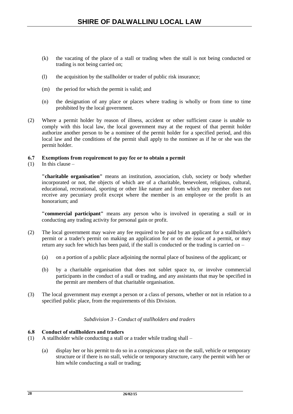- (k) the vacating of the place of a stall or trading when the stall is not being conducted or trading is not being carried on;
- (l) the acquisition by the stallholder or trader of public risk insurance;
- (m) the period for which the permit is valid; and
- (n) the designation of any place or places where trading is wholly or from time to time prohibited by the local government.
- (2) Where a permit holder by reason of illness, accident or other sufficient cause is unable to comply with this local law, the local government may at the request of that permit holder authorize another person to be a nominee of the permit holder for a specified period, and this local law and the conditions of the permit shall apply to the nominee as if he or she was the permit holder.

# **6.7 Exemptions from requirement to pay fee or to obtain a permit**

 $(1)$  In this clause –

**"charitable organisation"** means an institution, association, club, society or body whether incorporated or not, the objects of which are of a charitable, benevolent, religious, cultural, educational, recreational, sporting or other like nature and from which any member does not receive any pecuniary profit except where the member is an employee or the profit is an honorarium; and

**"commercial participant"** means any person who is involved in operating a stall or in conducting any trading activity for personal gain or profit.

- (2) The local government may waive any fee required to be paid by an applicant for a stallholder's permit or a trader's permit on making an application for or on the issue of a permit, or may return any such fee which has been paid, if the stall is conducted or the trading is carried on –
	- (a) on a portion of a public place adjoining the normal place of business of the applicant; or
	- (b) by a charitable organisation that does not sublet space to, or involve commercial participants in the conduct of a stall or trading, and any assistants that may be specified in the permit are members of that charitable organisation.
- (3) The local government may exempt a person or a class of persons, whether or not in relation to a specified public place, from the requirements of this Division.

# *Subdivision 3 - Conduct of stallholders and traders*

# **6.8 Conduct of stallholders and traders**

- (1) A stallholder while conducting a stall or a trader while trading shall
	- (a) display her or his permit to do so in a conspicuous place on the stall, vehicle or temporary structure or if there is no stall, vehicle or temporary structure, carry the permit with her or him while conducting a stall or trading;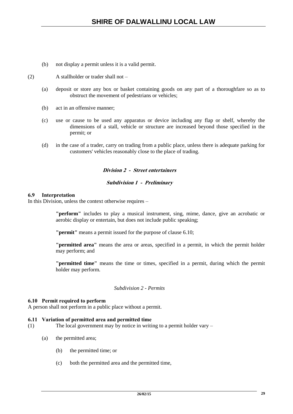- (b) not display a permit unless it is a valid permit.
- (2) A stallholder or trader shall not
	- (a) deposit or store any box or basket containing goods on any part of a thoroughfare so as to obstruct the movement of pedestrians or vehicles;
	- (b) act in an offensive manner;
	- (c) use or cause to be used any apparatus or device including any flap or shelf, whereby the dimensions of a stall, vehicle or structure are increased beyond those specified in the permit; or
	- (d) in the case of a trader, carry on trading from a public place, unless there is adequate parking for customers' vehicles reasonably close to the place of trading.

# **Division 2 - Street entertainers**

### **Subdivision 1 - Preliminary**

#### **6.9 Interpretation**

In this Division, unless the context otherwise requires –

**"perform"** includes to play a musical instrument, sing, mime, dance, give an acrobatic or aerobic display or entertain, but does not include public speaking;

**"permit"** means a permit issued for the purpose of clause 6.10;

**"permitted area"** means the area or areas, specified in a permit, in which the permit holder may perform; and

**"permitted time"** means the time or times, specified in a permit, during which the permit holder may perform.

#### *Subdivision 2 - Permits*

#### **6.10 Permit required to perform**

A person shall not perform in a public place without a permit.

#### **6.11 Variation of permitted area and permitted time**

- (1) The local government may by notice in writing to a permit holder vary
	- (a) the permitted area;
		- (b) the permitted time; or
		- (c) both the permitted area and the permitted time,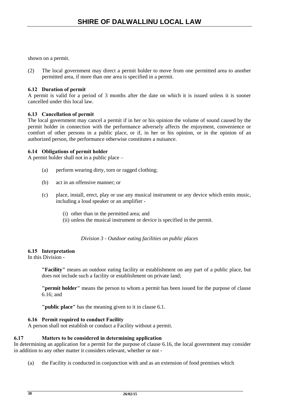shown on a permit.

(2) The local government may direct a permit holder to move from one permitted area to another permitted area, if more than one area is specified in a permit.

# **6.12 Duration of permit**

A permit is valid for a period of 3 months after the date on which it is issued unless it is sooner cancelled under this local law.

# **6.13 Cancellation of permit**

The local government may cancel a permit if in her or his opinion the volume of sound caused by the permit holder in connection with the performance adversely affects the enjoyment, convenience or comfort of other persons in a public place, or if, in her or his opinion, or in the opinion of an authorized person, the performance otherwise constitutes a nuisance.

# **6.14 Obligations of permit holder**

A permit holder shall not in a public place –

- (a) perform wearing dirty, torn or ragged clothing;
- (b) act in an offensive manner; or
- (c) place, install, erect, play or use any musical instrument or any device which emits music, including a loud speaker or an amplifier -
	- (i) other than in the permitted area; and
	- (ii) unless the musical instrument or device is specified in the permit.

*Division 3 - Outdoor eating facilities on public places*

# **6.15 Interpretation**

In this Division -

**"Facility"** means an outdoor eating facility or establishment on any part of a public place, but does not include such a facility or establishment on private land;

**"permit holder"** means the person to whom a permit has been issued for the purpose of clause 6.16; and

**"public place"** has the meaning given to it in clause 6.1.

# **6.16 Permit required to conduct Facility**

A person shall not establish or conduct a Facility without a permit.

# **6.17 Matters to be considered in determining application**

In determining an application for a permit for the purpose of clause 6.16, the local government may consider in addition to any other matter it considers relevant, whether or not -

(a) the Facility is conducted in conjunction with and as an extension of food premises which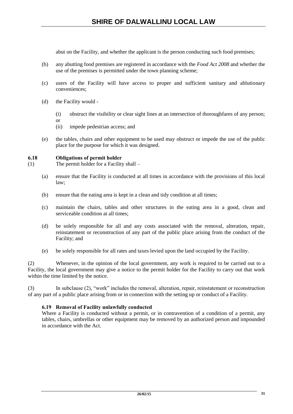abut on the Facility, and whether the applicant is the person conducting such food premises;

- (b) any abutting food premises are registered in accordance with the *Food Act 2008* and whether the use of the premises is permitted under the town planning scheme;
- (c) users of the Facility will have access to proper and sufficient sanitary and ablutionary conveniences;
- (d) the Facility would
	- (i) obstruct the visibility or clear sight lines at an intersection of thoroughfares of any person;
	- or
	- (ii) impede pedestrian access; and
- (e) the tables, chairs and other equipment to be used may obstruct or impede the use of the public place for the purpose for which it was designed.

# **6.18 Obligations of permit holder**

- (1) The permit holder for a Facility shall
	- (a) ensure that the Facility is conducted at all times in accordance with the provisions of this local law;
	- (b) ensure that the eating area is kept in a clean and tidy condition at all times;
	- (c) maintain the chairs, tables and other structures in the eating area in a good, clean and serviceable condition at all times;
	- (d) be solely responsible for all and any costs associated with the removal, alteration, repair, reinstatement or reconstruction of any part of the public place arising from the conduct of the Facility; and
	- (e) be solely responsible for all rates and taxes levied upon the land occupied by the Facility.

(2) Whenever, in the opinion of the local government, any work is required to be carried out to a Facility, the local government may give a notice to the permit holder for the Facility to carry out that work within the time limited by the notice.

(3) In subclause (2), "work" includes the removal, alteration, repair, reinstatement or reconstruction of any part of a public place arising from or in connection with the setting up or conduct of a Facility.

# **6.19 Removal of Facility unlawfully conducted**

Where a Facility is conducted without a permit, or in contravention of a condition of a permit, any tables, chairs, umbrellas or other equipment may be removed by an authorized person and impounded in accordance with the Act.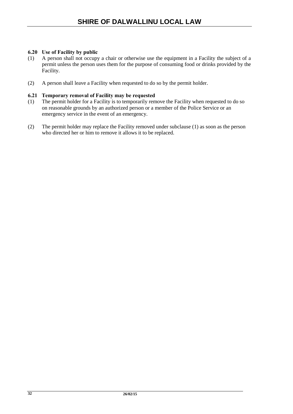# **6.20 Use of Facility by public**

- (1) A person shall not occupy a chair or otherwise use the equipment in a Facility the subject of a permit unless the person uses them for the purpose of consuming food or drinks provided by the Facility.
- (2) A person shall leave a Facility when requested to do so by the permit holder.

# **6.21 Temporary removal of Facility may be requested**

- (1) The permit holder for a Facility is to temporarily remove the Facility when requested to do so on reasonable grounds by an authorized person or a member of the Police Service or an emergency service in the event of an emergency.
- (2) The permit holder may replace the Facility removed under subclause (1) as soon as the person who directed her or him to remove it allows it to be replaced.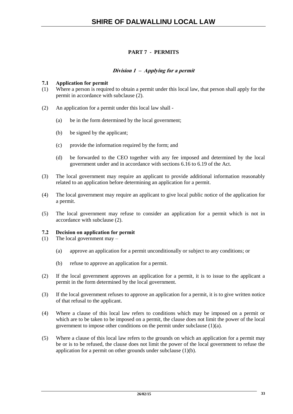# **PART 7 - PERMITS**

# **Division 1 – Applying for a permit**

# **7.1 Application for permit**

- (1) Where a person is required to obtain a permit under this local law, that person shall apply for the permit in accordance with subclause (2).
- (2) An application for a permit under this local law shall
	- (a) be in the form determined by the local government;
	- (b) be signed by the applicant;
	- (c) provide the information required by the form; and
	- (d) be forwarded to the CEO together with any fee imposed and determined by the local government under and in accordance with sections 6.16 to 6.19 of the Act.
- (3) The local government may require an applicant to provide additional information reasonably related to an application before determining an application for a permit.
- (4) The local government may require an applicant to give local public notice of the application for a permit.
- (5) The local government may refuse to consider an application for a permit which is not in accordance with subclause (2).

# **7.2 Decision on application for permit**

- (1) The local government may
	- (a) approve an application for a permit unconditionally or subject to any conditions; or
	- (b) refuse to approve an application for a permit.
- (2) If the local government approves an application for a permit, it is to issue to the applicant a permit in the form determined by the local government.
- (3) If the local government refuses to approve an application for a permit, it is to give written notice of that refusal to the applicant.
- (4) Where a clause of this local law refers to conditions which may be imposed on a permit or which are to be taken to be imposed on a permit, the clause does not limit the power of the local government to impose other conditions on the permit under subclause (1)(a).
- (5) Where a clause of this local law refers to the grounds on which an application for a permit may be or is to be refused, the clause does not limit the power of the local government to refuse the application for a permit on other grounds under subclause  $(1)(b)$ .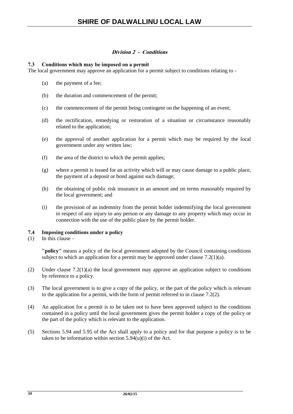# **Division 2 - Conditions**

# **7.3 Conditions which may be imposed on a permit**

The local government may approve an application for a permit subject to conditions relating to -

- (a) the payment of a fee;
- (b) the duration and commencement of the permit;
- (c) the commencement of the permit being contingent on the happening of an event;
- (d) the rectification, remedying or restoration of a situation or circumstance reasonably related to the application;
- (e) the approval of another application for a permit which may be required by the local government under any written law;
- (f) the area of the district to which the permit applies;
- (g) where a permit is issued for an activity which will or may cause damage to a public place, the payment of a deposit or bond against such damage;
- (h) the obtaining of public risk insurance in an amount and on terms reasonably required by the local government; and
- (i) the provision of an indemnity from the permit holder indemnifying the local government in respect of any injury to any person or any damage to any property which may occur in connection with the use of the public place by the permit holder.

# **7.4 Imposing conditions under a policy**

 $(1)$  In this clause –

**"policy"** means a policy of the local government adopted by the Council containing conditions subject to which an application for a permit may be approved under clause  $7.2(1)(a)$ .

- (2) Under clause 7.2(1)(a) the local government may approve an application subject to conditions by reference to a policy.
- (3) The local government is to give a copy of the policy, or the part of the policy which is relevant to the application for a permit, with the form of permit referred to in clause 7.2(2).
- (4) An application for a permit is to be taken not to have been approved subject to the conditions contained in a policy until the local government gives the permit holder a copy of the policy or the part of the policy which is relevant to the application.
- (5) Sections 5.94 and 5.95 of the Act shall apply to a policy and for that purpose a policy is to be taken to be information within section 5.94(u)(i) of the Act.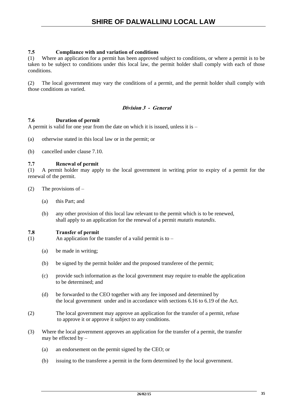# **7.5 Compliance with and variation of conditions**

(1) Where an application for a permit has been approved subject to conditions, or where a permit is to be taken to be subject to conditions under this local law, the permit holder shall comply with each of those conditions.

(2) The local government may vary the conditions of a permit, and the permit holder shall comply with those conditions as varied.

# **Division 3 - General**

# **7.6 Duration of permit**

A permit is valid for one year from the date on which it is issued, unless it is –

- (a) otherwise stated in this local law or in the permit; or
- (b) cancelled under clause 7.10.

# **7.7 Renewal of permit**

(1) A permit holder may apply to the local government in writing prior to expiry of a permit for the renewal of the permit.

- (2) The provisions of  $-$ 
	- (a) this Part; and
	- (b) any other provision of this local law relevant to the permit which is to be renewed, shall apply to an application for the renewal of a permit *mutatis mutandis*.

# **7.8 Transfer of permit**

(1) An application for the transfer of a valid permit is to  $-$ 

- (a) be made in writing;
- (b) be signed by the permit holder and the proposed transferee of the permit;
- (c) provide such information as the local government may require to enable the application to be determined; and
- (d) be forwarded to the CEO together with any fee imposed and determined by the local government under and in accordance with sections 6.16 to 6.19 of the Act.
- (2) The local government may approve an application for the transfer of a permit, refuse to approve it or approve it subject to any conditions.
- (3) Where the local government approves an application for the transfer of a permit, the transfer may be effected by –
	- (a) an endorsement on the permit signed by the CEO; or
	- (b) issuing to the transferee a permit in the form determined by the local government.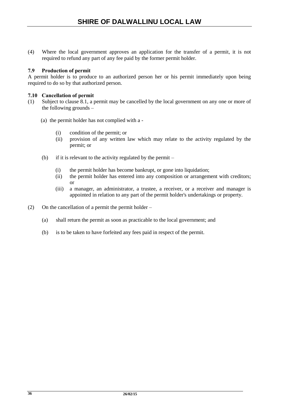(4) Where the local government approves an application for the transfer of a permit, it is not required to refund any part of any fee paid by the former permit holder.

# **7.9 Production of permit**

A permit holder is to produce to an authorized person her or his permit immediately upon being required to do so by that authorized person.

# **7.10 Cancellation of permit**

- (1) Subject to clause 8.1, a permit may be cancelled by the local government on any one or more of the following grounds –
	- (a) the permit holder has not complied with a
		- (i) condition of the permit; or
		- (ii) provision of any written law which may relate to the activity regulated by the permit; or
	- (b) if it is relevant to the activity regulated by the permit
		- (i) the permit holder has become bankrupt, or gone into liquidation;
		- (ii) the permit holder has entered into any composition or arrangement with creditors; or
		- (iii) a manager, an administrator, a trustee, a receiver, or a receiver and manager is appointed in relation to any part of the permit holder's undertakings or property.
- (2) On the cancellation of a permit the permit holder
	- (a) shall return the permit as soon as practicable to the local government; and
	- (b) is to be taken to have forfeited any fees paid in respect of the permit.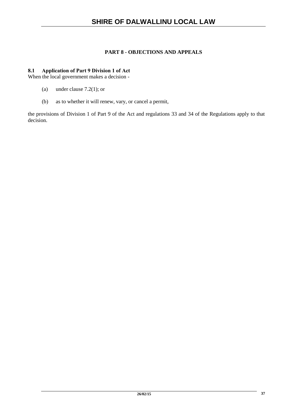# **PART 8 - OBJECTIONS AND APPEALS**

# **8.1 Application of Part 9 Division 1 of Act**

When the local government makes a decision -

- (a) under clause 7.2(1); or
- (b) as to whether it will renew, vary, or cancel a permit,

the provisions of Division 1 of Part 9 of the Act and regulations 33 and 34 of the Regulations apply to that decision.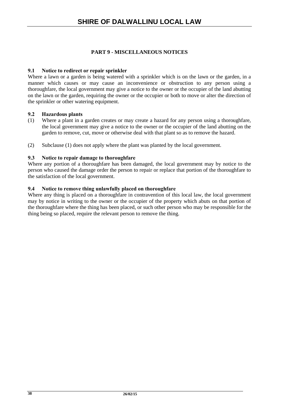# **PART 9 - MISCELLANEOUS NOTICES**

# **9.1 Notice to redirect or repair sprinkler**

Where a lawn or a garden is being watered with a sprinkler which is on the lawn or the garden, in a manner which causes or may cause an inconvenience or obstruction to any person using a thoroughfare, the local government may give a notice to the owner or the occupier of the land abutting on the lawn or the garden, requiring the owner or the occupier or both to move or alter the direction of the sprinkler or other watering equipment.

# **9.2 Hazardous plants**

- (1) Where a plant in a garden creates or may create a hazard for any person using a thoroughfare, the local government may give a notice to the owner or the occupier of the land abutting on the garden to remove, cut, move or otherwise deal with that plant so as to remove the hazard.
- (2) Subclause (1) does not apply where the plant was planted by the local government.

# **9.3 Notice to repair damage to thoroughfare**

Where any portion of a thoroughfare has been damaged, the local government may by notice to the person who caused the damage order the person to repair or replace that portion of the thoroughfare to the satisfaction of the local government.

# **9.4 Notice to remove thing unlawfully placed on thoroughfare**

Where any thing is placed on a thoroughfare in contravention of this local law, the local government may by notice in writing to the owner or the occupier of the property which abuts on that portion of the thoroughfare where the thing has been placed, or such other person who may be responsible for the thing being so placed, require the relevant person to remove the thing.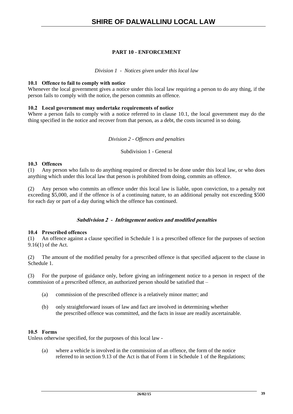# **PART 10 - ENFORCEMENT**

*Division 1 - Notices given under this local law*

# **10.1 Offence to fail to comply with notice**

Whenever the local government gives a notice under this local law requiring a person to do any thing, if the person fails to comply with the notice, the person commits an offence.

# **10.2 Local government may undertake requirements of notice**

Where a person fails to comply with a notice referred to in clause 10.1, the local government may do the thing specified in the notice and recover from that person, as a debt, the costs incurred in so doing.

# *Division 2 - Offences and penalties*

Subdivision 1 - General

# **10.3 Offences**

(1) Any person who fails to do anything required or directed to be done under this local law, or who does anything which under this local law that person is prohibited from doing, commits an offence.

(2) Any person who commits an offence under this local law is liable, upon conviction, to a penalty not exceeding \$5,000, and if the offence is of a continuing nature, to an additional penalty not exceeding \$500 for each day or part of a day during which the offence has continued.

# **Subdivision 2 - Infringement notices and modified penalties**

# **10.4 Prescribed offences**

(1) An offence against a clause specified in Schedule 1 is a prescribed offence for the purposes of section 9.16(1) of the Act.

(2) The amount of the modified penalty for a prescribed offence is that specified adjacent to the clause in Schedule 1.

(3) For the purpose of guidance only, before giving an infringement notice to a person in respect of the commission of a prescribed offence, an authorized person should be satisfied that –

- (a) commission of the prescribed offence is a relatively minor matter; and
- (b) only straightforward issues of law and fact are involved in determining whether the prescribed offence was committed, and the facts in issue are readily ascertainable.

# **10.5 Forms**

Unless otherwise specified, for the purposes of this local law -

(a) where a vehicle is involved in the commission of an offence, the form of the notice referred to in section 9.13 of the Act is that of Form 1 in Schedule 1 of the Regulations;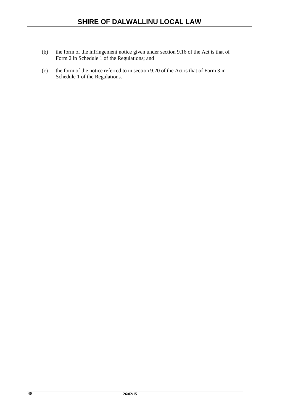- (b) the form of the infringement notice given under section 9.16 of the Act is that of Form 2 in Schedule 1 of the Regulations; and
- (c) the form of the notice referred to in section 9.20 of the Act is that of Form 3 in Schedule 1 of the Regulations.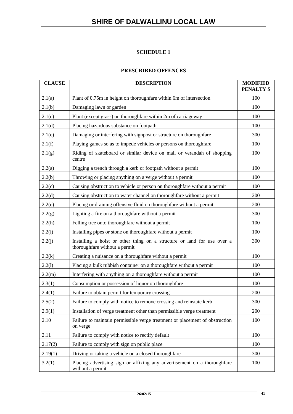# **SCHEDULE 1**

# **PRESCRIBED OFFENCES**

| <b>CLAUSE</b> | <b>DESCRIPTION</b>                                                                                       | <b>MODIFIED</b><br><b>PENALTY \$</b> |
|---------------|----------------------------------------------------------------------------------------------------------|--------------------------------------|
| 2.1(a)        | Plant of 0.75m in height on thoroughfare within 6m of intersection                                       | 100                                  |
| 2.1(b)        | Damaging lawn or garden                                                                                  | 100                                  |
| 2.1(c)        | Plant (except grass) on thoroughfare within 2m of carriageway                                            | 100                                  |
| 2.1(d)        | Placing hazardous substance on footpath                                                                  | 100                                  |
| 2.1(e)        | Damaging or interfering with signpost or structure on thoroughfare                                       | 300                                  |
| 2.1(f)        | Playing games so as to impede vehicles or persons on thoroughfare                                        | 100                                  |
| 2.1(g)        | Riding of skateboard or similar device on mall or verandah of shopping<br>centre                         | 100                                  |
| 2.2(a)        | Digging a trench through a kerb or footpath without a permit                                             | 100                                  |
| 2.2(b)        | Throwing or placing anything on a verge without a permit                                                 | 100                                  |
| 2.2(c)        | Causing obstruction to vehicle or person on thoroughfare without a permit                                | 100                                  |
| 2.2(d)        | Causing obstruction to water channel on thoroughfare without a permit                                    | 200                                  |
| 2.2(e)        | Placing or draining offensive fluid on thoroughfare without a permit                                     | 200                                  |
| 2.2(g)        | Lighting a fire on a thoroughfare without a permit                                                       | 300                                  |
| 2.2(h)        | Felling tree onto thoroughfare without a permit                                                          | 100                                  |
| 2.2(i)        | Installing pipes or stone on thoroughfare without a permit                                               | 100                                  |
| 2.2(j)        | Installing a hoist or other thing on a structure or land for use over a<br>thoroughfare without a permit | 300                                  |
| 2.2(k)        | Creating a nuisance on a thoroughfare without a permit                                                   | 100                                  |
| 2.2(1)        | Placing a bulk rubbish container on a thoroughfare without a permit                                      | 100                                  |
| 2.2(m)        | Interfering with anything on a thoroughfare without a permit                                             | 100                                  |
| 2.3(1)        | Consumption or possession of liquor on thoroughfare                                                      | 100                                  |
| 2.4(1)        | Failure to obtain permit for temporary crossing                                                          | 200                                  |
| 2.5(2)        | Failure to comply with notice to remove crossing and reinstate kerb                                      | 300                                  |
| 2.9(1)        | Installation of verge treatment other than permissible verge treatment                                   | 200                                  |
| 2.10          | Failure to maintain permissible verge treatment or placement of obstruction<br>on verge                  | 100                                  |
| 2.11          | Failure to comply with notice to rectify default                                                         | 100                                  |
| 2.17(2)       | Failure to comply with sign on public place                                                              | 100                                  |
| 2.19(1)       | Driving or taking a vehicle on a closed thoroughfare                                                     | 300                                  |
| 3.2(1)        | Placing advertising sign or affixing any advertisement on a thoroughfare<br>without a permit             | 100                                  |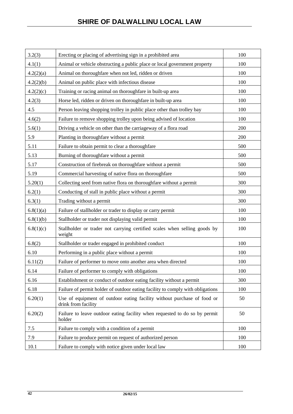| 3.2(3)    | Erecting or placing of advertising sign in a prohibited area                                   | 100 |
|-----------|------------------------------------------------------------------------------------------------|-----|
| 4.1(1)    | Animal or vehicle obstructing a public place or local government property                      | 100 |
| 4.2(2)(a) | Animal on thoroughfare when not led, ridden or driven                                          | 100 |
| 4.2(2)(b) | Animal on public place with infectious disease                                                 | 100 |
| 4.2(2)(c) | Training or racing animal on thoroughfare in built-up area                                     | 100 |
| 4.2(3)    | Horse led, ridden or driven on thoroughfare in built-up area                                   | 100 |
| 4.5       | Person leaving shopping trolley in public place other than trolley bay                         | 100 |
| 4.6(2)    | Failure to remove shopping trolley upon being advised of location                              | 100 |
| 5.6(1)    | Driving a vehicle on other than the carriageway of a flora road                                | 200 |
| 5.9       | Planting in thoroughfare without a permit                                                      | 200 |
| 5.11      | Failure to obtain permit to clear a thoroughfare                                               | 500 |
| 5.13      | Burning of thoroughfare without a permit                                                       | 500 |
| 5.17      | Construction of firebreak on thoroughfare without a permit                                     | 500 |
| 5.19      | Commercial harvesting of native flora on thoroughfare                                          | 500 |
| 5.20(1)   | Collecting seed from native flora on thoroughfare without a permit                             | 300 |
| 6.2(1)    | Conducting of stall in public place without a permit                                           | 300 |
| 6.3(1)    | Trading without a permit                                                                       | 300 |
| 6.8(1)(a) | Failure of stallholder or trader to display or carry permit                                    | 100 |
| 6.8(1)(b) | Stallholder or trader not displaying valid permit                                              | 100 |
| 6.8(1)(c) | Stallholder or trader not carrying certified scales when selling goods by<br>weight            | 100 |
| 6.8(2)    | Stallholder or trader engaged in prohibited conduct                                            | 100 |
| 6.10      | Performing in a public place without a permit                                                  | 100 |
| 6.11(2)   | Failure of performer to move onto another area when directed                                   | 100 |
| 6.14      | Failure of performer to comply with obligations                                                | 100 |
| 6.16      | Establishment or conduct of outdoor eating facility without a permit                           | 300 |
| 6.18      | Failure of permit holder of outdoor eating facility to comply with obligations                 | 100 |
| 6.20(1)   | Use of equipment of outdoor eating facility without purchase of food or<br>drink from facility | 50  |
| 6.20(2)   | Failure to leave outdoor eating facility when requested to do so by permit<br>holder           | 50  |
| 7.5       | Failure to comply with a condition of a permit                                                 | 100 |
| 7.9       | Failure to produce permit on request of authorized person                                      | 100 |
| 10.1      | Failure to comply with notice given under local law                                            | 100 |